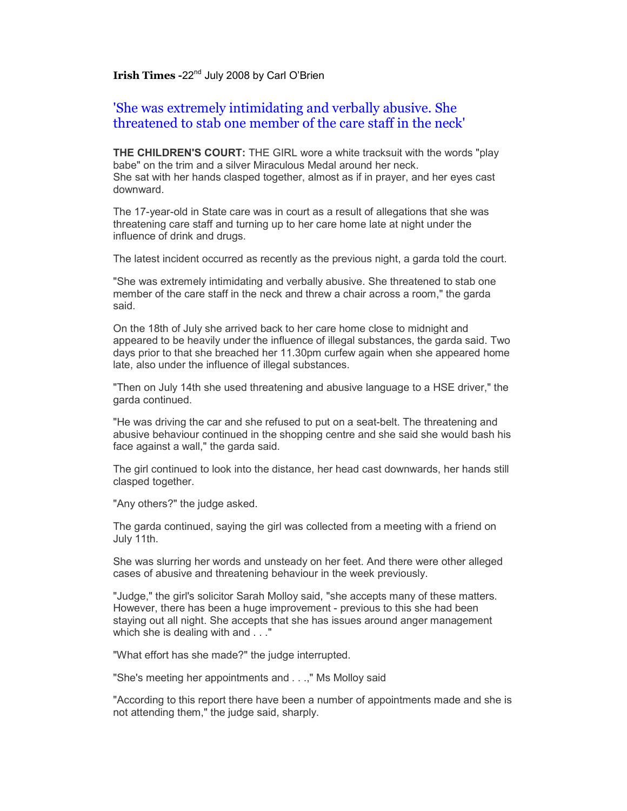## **Irish Times -22<sup>nd</sup> July 2008 by Carl O'Brien**

## 'She was extremely intimidating and verbally abusive. She threatened to stab one member of the care staff in the neck'

**THE CHILDREN'S COURT:** THE GIRL wore a white tracksuit with the words "play babe" on the trim and a silver Miraculous Medal around her neck. She sat with her hands clasped together, almost as if in prayer, and her eyes cast downward.

The 17-year-old in State care was in court as a result of allegations that she was threatening care staff and turning up to her care home late at night under the influence of drink and drugs.

The latest incident occurred as recently as the previous night, a garda told the court.

"She was extremely intimidating and verbally abusive. She threatened to stab one member of the care staff in the neck and threw a chair across a room," the garda said.

On the 18th of July she arrived back to her care home close to midnight and appeared to be heavily under the influence of illegal substances, the garda said. Two days prior to that she breached her 11.30pm curfew again when she appeared home late, also under the influence of illegal substances.

"Then on July 14th she used threatening and abusive language to a HSE driver," the garda continued.

"He was driving the car and she refused to put on a seat-belt. The threatening and abusive behaviour continued in the shopping centre and she said she would bash his face against a wall," the garda said.

The girl continued to look into the distance, her head cast downwards, her hands still clasped together.

"Any others?" the judge asked.

The garda continued, saying the girl was collected from a meeting with a friend on July 11th.

She was slurring her words and unsteady on her feet. And there were other alleged cases of abusive and threatening behaviour in the week previously.

"Judge," the girl's solicitor Sarah Molloy said, "she accepts many of these matters. However, there has been a huge improvement - previous to this she had been staying out all night. She accepts that she has issues around anger management which she is dealing with and . . ."

"What effort has she made?" the judge interrupted.

"She's meeting her appointments and . . .," Ms Molloy said

"According to this report there have been a number of appointments made and she is not attending them," the judge said, sharply.